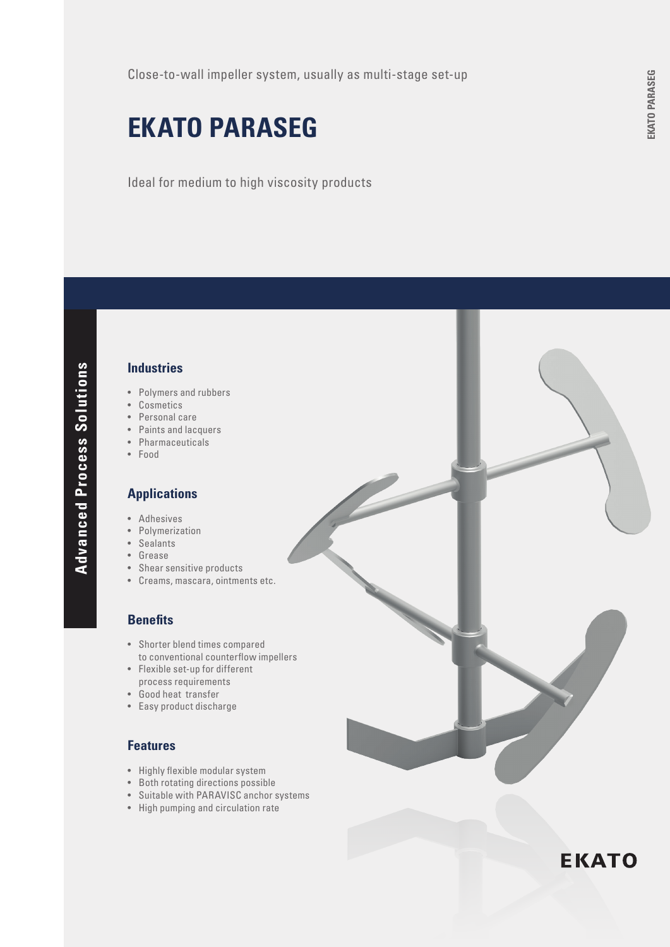# **EKATO PARASEG**

Ideal for medium to high viscosity products

## **Industries**

- Polymers and rubbers
- Cosmetics
- Personal care
- Paints and lacquers
- Pharmaceuticals
- Food

#### **Applications**

- Adhesives
- Polymerization
- Sealants
- **Grease**
- Shear sensitive products
- Creams, mascara, ointments etc.

#### **Benefits**

- Shorter blend times compared to conventional counterflow impellers
- Flexible set-up for different process requirements
- Good heat transfer
- Easy product discharge

## **Features**

- • Highly flexible modular system
- Both rotating directions possible
- Suitable with PARAVISC anchor systems
- High pumping and circulation rate